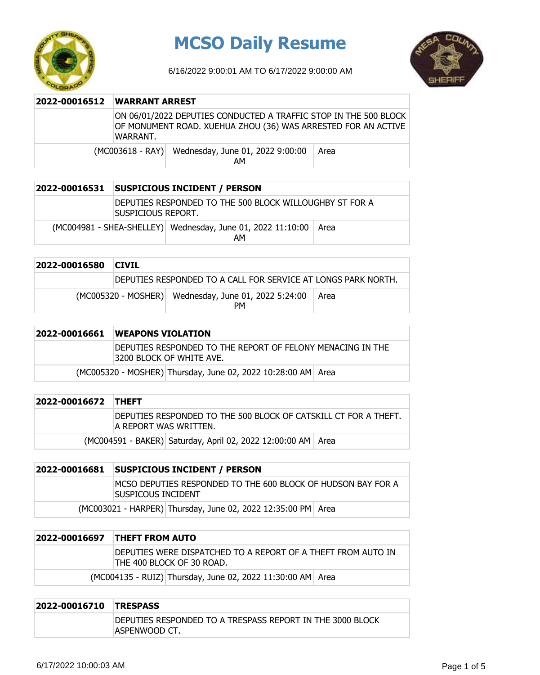

## **MCSO Daily Resume**

6/16/2022 9:00:01 AM TO 6/17/2022 9:00:00 AM



| 2022-00016512 | <b>WARRANT ARREST</b> |                                                                                                                                   |      |
|---------------|-----------------------|-----------------------------------------------------------------------------------------------------------------------------------|------|
|               | WARRANT.              | ON 06/01/2022 DEPUTIES CONDUCTED A TRAFFIC STOP IN THE 500 BLOCK<br>OF MONUMENT ROAD. XUEHUA ZHOU (36) WAS ARRESTED FOR AN ACTIVE |      |
|               |                       | (MC003618 - RAY) Wednesday, June 01, 2022 9:00:00<br>AM                                                                           | Area |

| 2022-00016531 | <b>SUSPICIOUS INCIDENT / PERSON</b>                                           |                                                                   |      |
|---------------|-------------------------------------------------------------------------------|-------------------------------------------------------------------|------|
|               | DEPUTIES RESPONDED TO THE 500 BLOCK WILLOUGHBY ST FOR A<br>Suspicious Report. |                                                                   |      |
|               |                                                                               | (MC004981 - SHEA-SHELLEY) Wednesday, June 01, 2022 11:10:00<br>AM | Area |

| 2022-00016580 | <b>CIVIL</b> |                                                               |      |
|---------------|--------------|---------------------------------------------------------------|------|
|               |              | DEPUTIES RESPONDED TO A CALL FOR SERVICE AT LONGS PARK NORTH. |      |
|               |              | (MC005320 - MOSHER) Wednesday, June 01, 2022 5:24:00<br>PM    | Area |

| 2022-00016661 | <b>WEAPONS VIOLATION</b>                                                                 |  |  |
|---------------|------------------------------------------------------------------------------------------|--|--|
|               | IDEPUTIES RESPONDED TO THE REPORT OF FELONY MENACING IN THE<br>13200 BLOCK OF WHITE AVE. |  |  |
|               | (MC005320 - MOSHER) Thursday, June 02, 2022 10:28:00 AM Area                             |  |  |

| 2022-00016672 THEFT |                                                                                            |
|---------------------|--------------------------------------------------------------------------------------------|
|                     | IDEPUTIES RESPONDED TO THE 500 BLOCK OF CATSKILL CT FOR A THEFT.<br>IA REPORT WAS WRITTEN. |
|                     | (MC004591 - BAKER) Saturday, April 02, 2022 12:00:00 AM   Area                             |

| 2022-00016681 | <b>SUSPICIOUS INCIDENT / PERSON</b>                                                |  |  |  |
|---------------|------------------------------------------------------------------------------------|--|--|--|
|               | MCSO DEPUTIES RESPONDED TO THE 600 BLOCK OF HUDSON BAY FOR A<br>Suspicous incident |  |  |  |
|               | (MC003021 - HARPER) Thursday, June 02, 2022 12:35:00 PM Area                       |  |  |  |

| 2022-00016697 | <b>THEFT FROM AUTO</b>                                                                     |  |  |
|---------------|--------------------------------------------------------------------------------------------|--|--|
|               | IDEPUTIES WERE DISPATCHED TO A REPORT OF A THEFT FROM AUTO IN<br>THE 400 BLOCK OF 30 ROAD. |  |  |
|               | (MC004135 - RUIZ) Thursday, June 02, 2022 11:30:00 AM Area                                 |  |  |

| 2022-00016710 TRESPASS |                                                                            |
|------------------------|----------------------------------------------------------------------------|
|                        | DEPUTIES RESPONDED TO A TRESPASS REPORT IN THE 3000 BLOCK<br>ASPENWOOD CT. |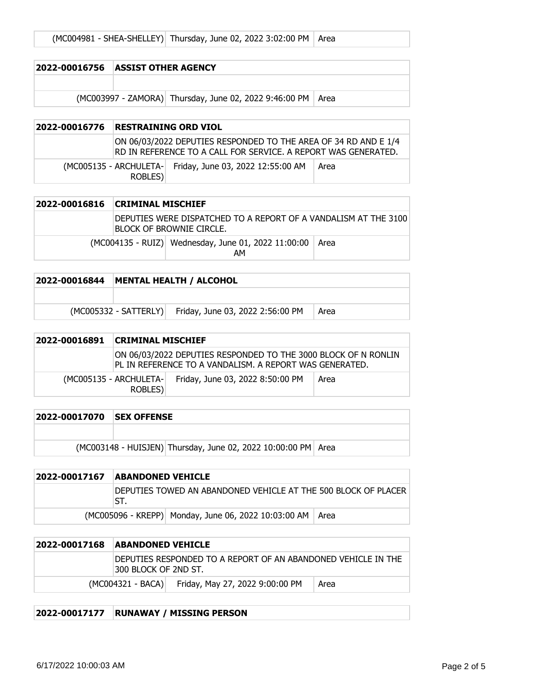| 2022-00016756 ASSIST OTHER AGENCY |                                                               |  |
|-----------------------------------|---------------------------------------------------------------|--|
|                                   |                                                               |  |
|                                   | (MC003997 - ZAMORA) Thursday, June 02, 2022 9:46:00 PM   Area |  |

| 2022-00016776 | RESTRAINING ORD VIOL |                                                                                                                                    |      |
|---------------|----------------------|------------------------------------------------------------------------------------------------------------------------------------|------|
|               |                      | ON 06/03/2022 DEPUTIES RESPONDED TO THE AREA OF 34 RD AND E 1/4<br>IRD IN REFERENCE TO A CALL FOR SERVICE. A REPORT WAS GENERATED. |      |
|               | ROBLES)              | (MC005135 - ARCHULETA- Friday, June 03, 2022 12:55:00 AM                                                                           | Area |

| 2022-00016816 | <b>CRIMINAL MISCHIEF</b> |                                                                                             |      |
|---------------|--------------------------|---------------------------------------------------------------------------------------------|------|
|               |                          | DEPUTIES WERE DISPATCHED TO A REPORT OF A VANDALISM AT THE 3100<br>BLOCK OF BROWNIE CIRCLE. |      |
|               |                          | (MC004135 - RUIZ) Wednesday, June 01, 2022 11:00:00<br>AM                                   | Area |

| 2022-00016844   MENTAL HEALTH / ALCOHOL |                                                        |      |
|-----------------------------------------|--------------------------------------------------------|------|
|                                         |                                                        |      |
|                                         | (MC005332 - SATTERLY) Friday, June 03, 2022 2:56:00 PM | Area |

| 2022-00016891 | <b>CRIMINAL MISCHIEF</b>           |                                                                                                                           |      |
|---------------|------------------------------------|---------------------------------------------------------------------------------------------------------------------------|------|
|               |                                    | ON 06/03/2022 DEPUTIES RESPONDED TO THE 3000 BLOCK OF N RONLIN<br>PL IN REFERENCE TO A VANDALISM. A REPORT WAS GENERATED. |      |
|               | (MC005135 - ARCHULETA-)<br>ROBLES) | Friday, June 03, 2022 8:50:00 PM                                                                                          | Area |

| <b>2022-00017070 ISEX OFFENSE</b> |                                                               |  |
|-----------------------------------|---------------------------------------------------------------|--|
|                                   |                                                               |  |
|                                   | (MC003148 - HUISJEN) Thursday, June 02, 2022 10:00:00 PM Area |  |

| 2022-00017167 | <b>ABANDONED VEHICLE</b>                                              |
|---------------|-----------------------------------------------------------------------|
|               | DEPUTIES TOWED AN ABANDONED VEHICLE AT THE 500 BLOCK OF PLACER<br>ST. |
|               | (MC005096 - KREPP) Monday, June 06, 2022 10:03:00 AM   Area           |

| 2022-00017168 | <b>ABANDONED VEHICLE</b> |                                                               |      |
|---------------|--------------------------|---------------------------------------------------------------|------|
|               | 1300 BLOCK OF 2ND ST.    | DEPUTIES RESPONDED TO A REPORT OF AN ABANDONED VEHICLE IN THE |      |
|               |                          | (MC004321 - BACA) Friday, May 27, 2022 9:00:00 PM             | Area |

## **2022-00017177 RUNAWAY / MISSING PERSON**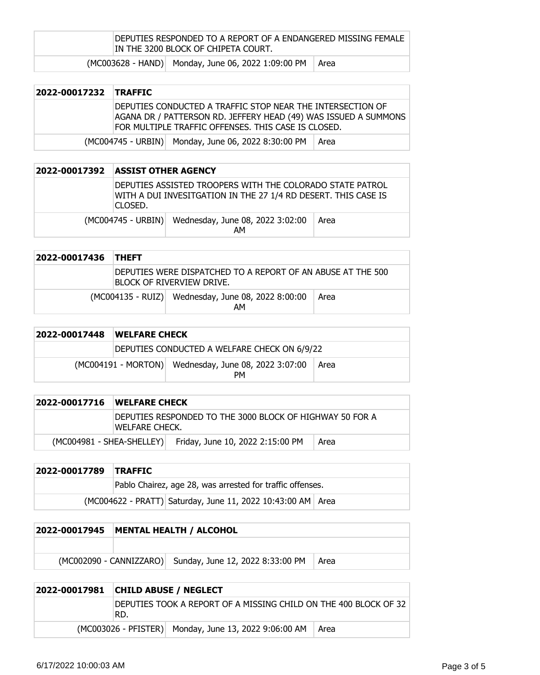DEPUTIES RESPONDED TO A REPORT OF A ENDANGERED MISSING FEMALE IN THE 3200 BLOCK OF CHIPETA COURT.

 $(MCOO3628 - HAND)$  Monday, June 06, 2022 1:09:00 PM Area

## **2022-00017232 TRAFFIC**

DEPUTIES CONDUCTED A TRAFFIC STOP NEAR THE INTERSECTION OF AGANA DR / PATTERSON RD. JEFFERY HEAD (49) WAS ISSUED A SUMMONS FOR MULTIPLE TRAFFIC OFFENSES. THIS CASE IS CLOSED.

(MC004745 - URBIN) Monday, June 06, 2022 8:30:00 PM Area

| 2022-00017392 | <b>ASSIST OTHER AGENCY</b> |                                                                                                                             |      |
|---------------|----------------------------|-----------------------------------------------------------------------------------------------------------------------------|------|
|               | CLOSED.                    | DEPUTIES ASSISTED TROOPERS WITH THE COLORADO STATE PATROL<br>WITH A DUI INVESITGATION IN THE 27 1/4 RD DESERT. THIS CASE IS |      |
|               |                            | (MC004745 - URBIN) Wednesday, June 08, 2022 3:02:00<br>AM                                                                   | Area |

| 2022-00017436 | <b>THEFT</b> |                                                                                          |      |
|---------------|--------------|------------------------------------------------------------------------------------------|------|
|               |              | DEPUTIES WERE DISPATCHED TO A REPORT OF AN ABUSE AT THE 500<br>BLOCK OF RIVERVIEW DRIVE. |      |
|               |              | (MC004135 - RUIZ) Wednesday, June 08, 2022 8:00:00<br>AM                                 | Area |

| 2022-00017448 | <b>WELFARE CHECK</b> |                                                                   |      |
|---------------|----------------------|-------------------------------------------------------------------|------|
|               |                      | DEPUTIES CONDUCTED A WELFARE CHECK ON 6/9/22                      |      |
|               |                      | (MC004191 - MORTON) Wednesday, June 08, 2022 3:07:00<br><b>PM</b> | Area |

| 2022-00017716               | <b>WELFARE CHECK</b> |                                                           |      |
|-----------------------------|----------------------|-----------------------------------------------------------|------|
|                             | WELFARE CHECK.       | IDEPUTIES RESPONDED TO THE 3000 BLOCK OF HIGHWAY 50 FOR A |      |
| $(MCOO4981 - SHEA-SHELLEY)$ |                      | Friday, June 10, 2022 2:15:00 PM                          | Area |

| 2022-00017789 TRAFFIC |                                                               |  |
|-----------------------|---------------------------------------------------------------|--|
|                       | Pablo Chairez, age 28, was arrested for traffic offenses.     |  |
|                       | (MC004622 - PRATT) Saturday, June 11, 2022 10:43:00 AM   Area |  |

| 2022-00017945 | MENTAL HEALTH / ALCOHOL |                                                          |        |  |
|---------------|-------------------------|----------------------------------------------------------|--------|--|
|               |                         |                                                          |        |  |
|               |                         | (MC002090 - CANNIZZARO) Sunday, June 12, 2022 8:33:00 PM | l Area |  |

| 2022-00017981 | <b>CHILD ABUSE / NEGLECT</b>                                            |                                                       |      |
|---------------|-------------------------------------------------------------------------|-------------------------------------------------------|------|
|               | DEPUTIES TOOK A REPORT OF A MISSING CHILD ON THE 400 BLOCK OF 32<br>RD. |                                                       |      |
|               |                                                                         | (MC003026 - PFISTER) Monday, June 13, 2022 9:06:00 AM | Area |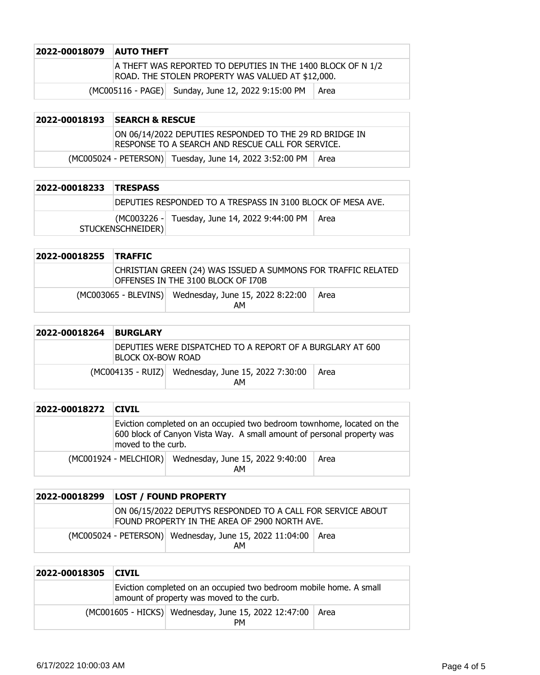| <b>2022-00018079 AUTO THEFT</b> |                                                                                                                  |  |
|---------------------------------|------------------------------------------------------------------------------------------------------------------|--|
|                                 | A THEFT WAS REPORTED TO DEPUTIES IN THE 1400 BLOCK OF N 1/2<br>ROAD. THE STOLEN PROPERTY WAS VALUED AT \$12,000. |  |
|                                 | (MC005116 - PAGE) Sunday, June 12, 2022 9:15:00 PM<br>Area                                                       |  |

## **2022-00018193 SEARCH & RESCUE** ON 06/14/2022 DEPUTIES RESPONDED TO THE 29 RD BRIDGE IN RESPONSE TO A SEARCH AND RESCUE CALL FOR SERVICE.  $(MCOO5024 - PETERSON)$  Tuesday, June 14, 2022 3:52:00 PM  $\vert$  Area

| 2022-00018233 | <b>TRESPASS</b>                                             |                                               |      |
|---------------|-------------------------------------------------------------|-----------------------------------------------|------|
|               | DEPUTIES RESPONDED TO A TRESPASS IN 3100 BLOCK OF MESA AVE. |                                               |      |
|               | STUCKENSCHNEIDER)                                           | (MC003226 - Tuesday, June 14, 2022 9:44:00 PM | Area |

| 2022-00018255 TRAFFIC |                                                                                                     |                                                             |      |
|-----------------------|-----------------------------------------------------------------------------------------------------|-------------------------------------------------------------|------|
|                       | CHRISTIAN GREEN (24) WAS ISSUED A SUMMONS FOR TRAFFIC RELATED<br>OFFENSES IN THE 3100 BLOCK OF I70B |                                                             |      |
|                       |                                                                                                     | (MC003065 - BLEVINS) Wednesday, June 15, 2022 8:22:00<br>AM | Area |

| 2022-00018264 | <b>BURGLARY</b>   |                                                           |      |
|---------------|-------------------|-----------------------------------------------------------|------|
|               | BLOCK OX-BOW ROAD | DEPUTIES WERE DISPATCHED TO A REPORT OF A BURGLARY AT 600 |      |
|               |                   | (MC004135 - RUIZ) Wednesday, June 15, 2022 7:30:00<br>AМ  | Area |

| 2022-00018272 | <b>CIVIL</b>       |                                                                                                                                                  |      |
|---------------|--------------------|--------------------------------------------------------------------------------------------------------------------------------------------------|------|
|               | moved to the curb. | Eviction completed on an occupied two bedroom townhome, located on the<br>600 block of Canyon Vista Way. A small amount of personal property was |      |
|               |                    | (MC001924 - MELCHIOR) Wednesday, June 15, 2022 9:40:00<br>AM                                                                                     | Area |

| 2022-00018299 | <b>LOST / FOUND PROPERTY</b>                                                                                 |                                                               |        |
|---------------|--------------------------------------------------------------------------------------------------------------|---------------------------------------------------------------|--------|
|               | ON 06/15/2022 DEPUTYS RESPONDED TO A CALL FOR SERVICE ABOUT<br>FOUND PROPERTY IN THE AREA OF 2900 NORTH AVE. |                                                               |        |
|               |                                                                                                              | (MC005024 - PETERSON) Wednesday, June 15, 2022 11:04:00<br>AM | ∣ Area |

| 2022-00018305 | <b>CIVIL</b>                                                                                                    |                                                                 |  |
|---------------|-----------------------------------------------------------------------------------------------------------------|-----------------------------------------------------------------|--|
|               | Eviction completed on an occupied two bedroom mobile home. A small<br>amount of property was moved to the curb. |                                                                 |  |
|               |                                                                                                                 | (MC001605 - HICKS) Wednesday, June 15, 2022 12:47:00 Area<br>PМ |  |